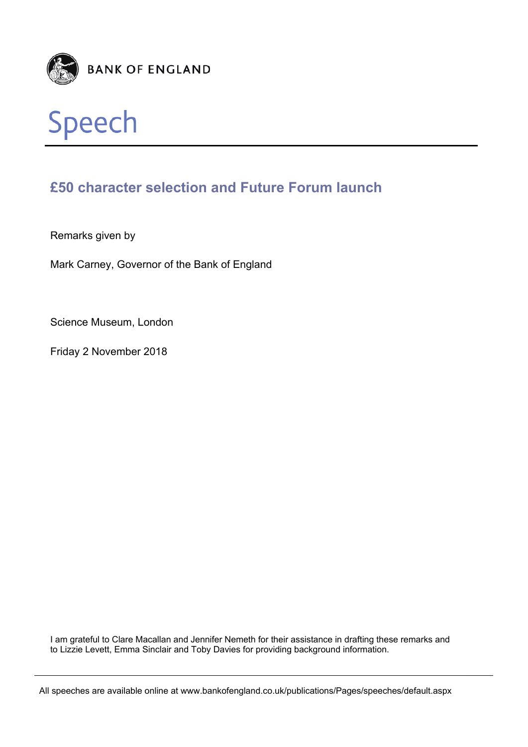



## **£50 character selection and Future Forum launch**

Remarks given by

Mark Carney, Governor of the Bank of England

Science Museum, London

Friday 2 November 2018

I am grateful to Clare Macallan and Jennifer Nemeth for their assistance in drafting these remarks and to Lizzie Levett, Emma Sinclair and Toby Davies for providing background information.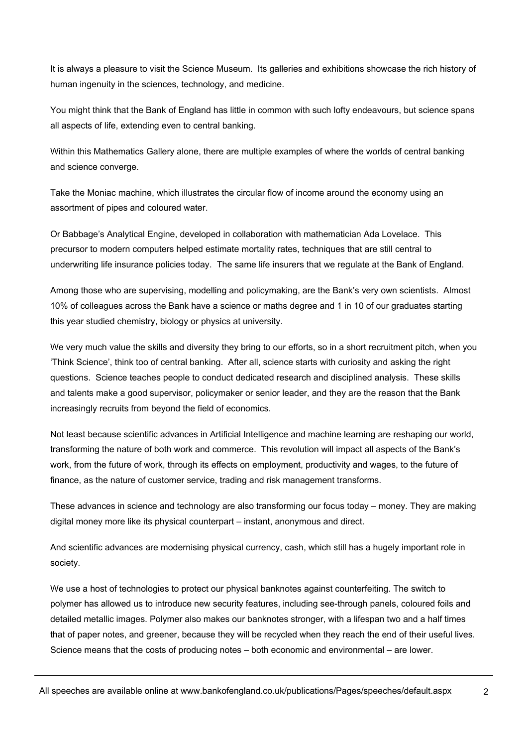It is always a pleasure to visit the Science Museum. Its galleries and exhibitions showcase the rich history of human ingenuity in the sciences, technology, and medicine.

You might think that the Bank of England has little in common with such lofty endeavours, but science spans all aspects of life, extending even to central banking.

Within this Mathematics Gallery alone, there are multiple examples of where the worlds of central banking and science converge.

Take the Moniac machine, which illustrates the circular flow of income around the economy using an assortment of pipes and coloured water.

Or Babbage's Analytical Engine, developed in collaboration with mathematician Ada Lovelace. This precursor to modern computers helped estimate mortality rates, techniques that are still central to underwriting life insurance policies today. The same life insurers that we regulate at the Bank of England.

Among those who are supervising, modelling and policymaking, are the Bank's very own scientists. Almost 10% of colleagues across the Bank have a science or maths degree and 1 in 10 of our graduates starting this year studied chemistry, biology or physics at university.

We very much value the skills and diversity they bring to our efforts, so in a short recruitment pitch, when you 'Think Science', think too of central banking. After all, science starts with curiosity and asking the right questions. Science teaches people to conduct dedicated research and disciplined analysis. These skills and talents make a good supervisor, policymaker or senior leader, and they are the reason that the Bank increasingly recruits from beyond the field of economics.

Not least because scientific advances in Artificial Intelligence and machine learning are reshaping our world, transforming the nature of both work and commerce. This revolution will impact all aspects of the Bank's work, from the future of work, through its effects on employment, productivity and wages, to the future of finance, as the nature of customer service, trading and risk management transforms.

These advances in science and technology are also transforming our focus today – money. They are making digital money more like its physical counterpart – instant, anonymous and direct.

And scientific advances are modernising physical currency, cash, which still has a hugely important role in society.

We use a host of technologies to protect our physical banknotes against counterfeiting. The switch to polymer has allowed us to introduce new security features, including see-through panels, coloured foils and detailed metallic images. Polymer also makes our banknotes stronger, with a lifespan two and a half times that of paper notes, and greener, because they will be recycled when they reach the end of their useful lives. Science means that the costs of producing notes – both economic and environmental – are lower.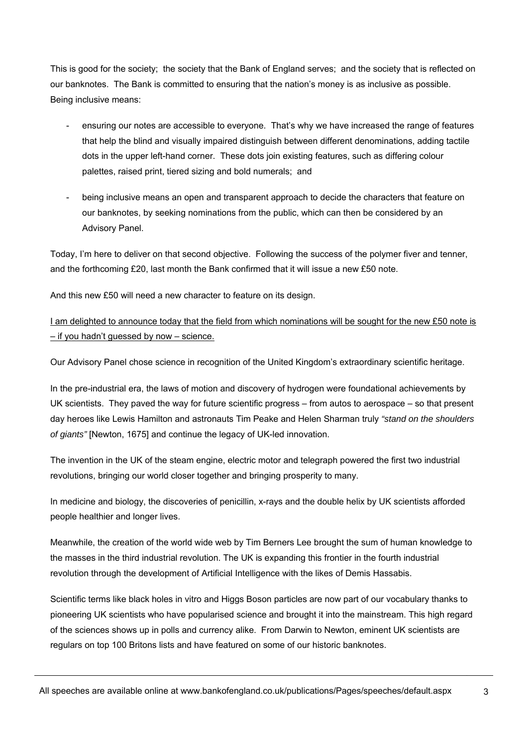This is good for the society; the society that the Bank of England serves; and the society that is reflected on our banknotes. The Bank is committed to ensuring that the nation's money is as inclusive as possible. Being inclusive means:

- ensuring our notes are accessible to everyone. That's why we have increased the range of features that help the blind and visually impaired distinguish between different denominations, adding tactile dots in the upper left-hand corner. These dots join existing features, such as differing colour palettes, raised print, tiered sizing and bold numerals; and
- being inclusive means an open and transparent approach to decide the characters that feature on our banknotes, by seeking nominations from the public, which can then be considered by an Advisory Panel.

Today, I'm here to deliver on that second objective. Following the success of the polymer fiver and tenner, and the forthcoming £20, last month the Bank confirmed that it will issue a new £50 note.

And this new £50 will need a new character to feature on its design.

I am delighted to announce today that the field from which nominations will be sought for the new £50 note is – if you hadn't guessed by now – science.

Our Advisory Panel chose science in recognition of the United Kingdom's extraordinary scientific heritage.

In the pre-industrial era, the laws of motion and discovery of hydrogen were foundational achievements by UK scientists. They paved the way for future scientific progress – from autos to aerospace – so that present day heroes like Lewis Hamilton and astronauts Tim Peake and Helen Sharman truly *"stand on the shoulders of giants"* [Newton, 1675] and continue the legacy of UK-led innovation.

The invention in the UK of the steam engine, electric motor and telegraph powered the first two industrial revolutions, bringing our world closer together and bringing prosperity to many.

In medicine and biology, the discoveries of penicillin, x-rays and the double helix by UK scientists afforded people healthier and longer lives.

Meanwhile, the creation of the world wide web by Tim Berners Lee brought the sum of human knowledge to the masses in the third industrial revolution. The UK is expanding this frontier in the fourth industrial revolution through the development of Artificial Intelligence with the likes of Demis Hassabis.

Scientific terms like black holes in vitro and Higgs Boson particles are now part of our vocabulary thanks to pioneering UK scientists who have popularised science and brought it into the mainstream. This high regard of the sciences shows up in polls and currency alike. From Darwin to Newton, eminent UK scientists are regulars on top 100 Britons lists and have featured on some of our historic banknotes.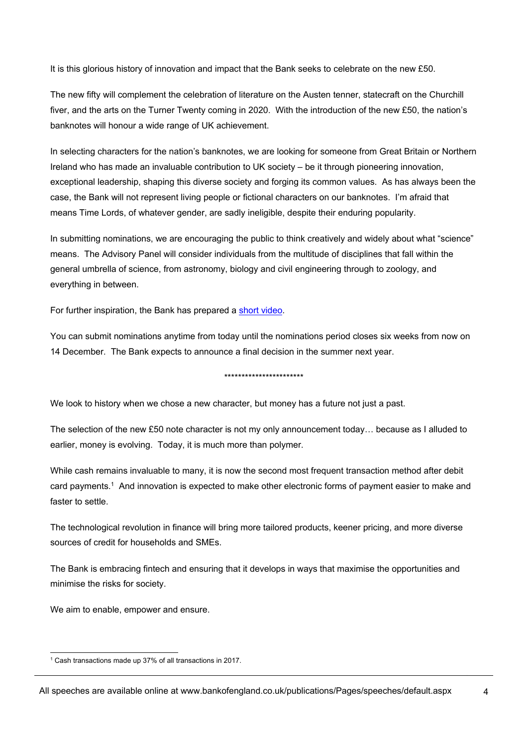It is this glorious history of innovation and impact that the Bank seeks to celebrate on the new £50.

The new fifty will complement the celebration of literature on the Austen tenner, statecraft on the Churchill fiver, and the arts on the Turner Twenty coming in 2020. With the introduction of the new £50, the nation's banknotes will honour a wide range of UK achievement.

In selecting characters for the nation's banknotes, we are looking for someone from Great Britain or Northern Ireland who has made an invaluable contribution to UK society – be it through pioneering innovation, exceptional leadership, shaping this diverse society and forging its common values. As has always been the case, the Bank will not represent living people or fictional characters on our banknotes. I'm afraid that means Time Lords, of whatever gender, are sadly ineligible, despite their enduring popularity.

In submitting nominations, we are encouraging the public to think creatively and widely about what "science" means. The Advisory Panel will consider individuals from the multitude of disciplines that fall within the general umbrella of science, from astronomy, biology and civil engineering through to zoology, and everything in between.

For further inspiration, the Bank has prepared a short video.

You can submit nominations anytime from today until the nominations period closes six weeks from now on 14 December. The Bank expects to announce a final decision in the summer next year.

\*\*\*\*\*\*\*\*\*\*\*\*\*\*\*\*\*\*\*\*\*\*\*

We look to history when we chose a new character, but money has a future not just a past.

The selection of the new £50 note character is not my only announcement today… because as I alluded to earlier, money is evolving. Today, it is much more than polymer.

While cash remains invaluable to many, it is now the second most frequent transaction method after debit card payments.1 And innovation is expected to make other electronic forms of payment easier to make and faster to settle.

The technological revolution in finance will bring more tailored products, keener pricing, and more diverse sources of credit for households and SMEs.

The Bank is embracing fintech and ensuring that it develops in ways that maximise the opportunities and minimise the risks for society.

We aim to enable, empower and ensure.

l 1 Cash transactions made up 37% of all transactions in 2017.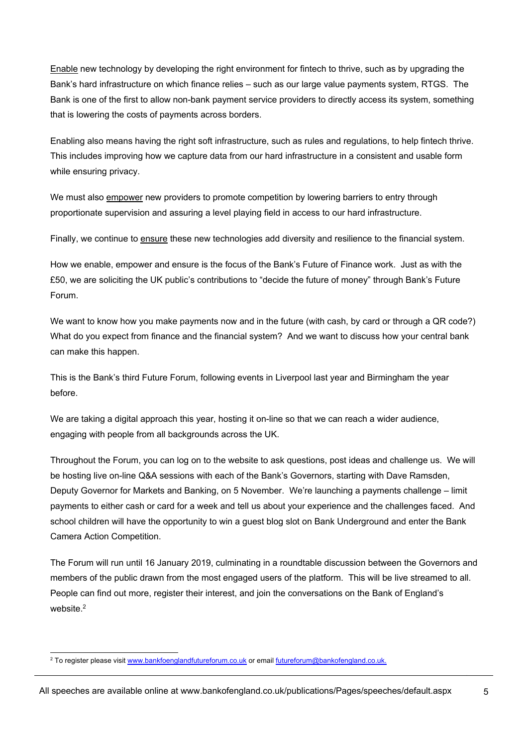Enable new technology by developing the right environment for fintech to thrive, such as by upgrading the Bank's hard infrastructure on which finance relies – such as our large value payments system, RTGS. The Bank is one of the first to allow non-bank payment service providers to directly access its system, something that is lowering the costs of payments across borders.

Enabling also means having the right soft infrastructure, such as rules and regulations, to help fintech thrive. This includes improving how we capture data from our hard infrastructure in a consistent and usable form while ensuring privacy.

We must also empower new providers to promote competition by lowering barriers to entry through proportionate supervision and assuring a level playing field in access to our hard infrastructure.

Finally, we continue to ensure these new technologies add diversity and resilience to the financial system.

How we enable, empower and ensure is the focus of the Bank's Future of Finance work. Just as with the £50, we are soliciting the UK public's contributions to "decide the future of money" through Bank's Future Forum.

We want to know how you make payments now and in the future (with cash, by card or through a QR code?) What do you expect from finance and the financial system? And we want to discuss how your central bank can make this happen.

This is the Bank's third Future Forum, following events in Liverpool last year and Birmingham the year before.

We are taking a digital approach this year, hosting it on-line so that we can reach a wider audience, engaging with people from all backgrounds across the UK.

Throughout the Forum, you can log on to the website to ask questions, post ideas and challenge us. We will be hosting live on-line Q&A sessions with each of the Bank's Governors, starting with Dave Ramsden, Deputy Governor for Markets and Banking, on 5 November. We're launching a payments challenge – limit payments to either cash or card for a week and tell us about your experience and the challenges faced. And school children will have the opportunity to win a guest blog slot on Bank Underground and enter the Bank Camera Action Competition.

The Forum will run until 16 January 2019, culminating in a roundtable discussion between the Governors and members of the public drawn from the most engaged users of the platform. This will be live streamed to all. People can find out more, register their interest, and join the conversations on the Bank of England's website<sup>2</sup>

<sup>&</sup>lt;u>.</u><br><sup>2</sup> To register please visit <u>www.bankfoenglandfutureforum.co.uk</u> or email <u>futureforum@bankofengland.co.uk.</u>